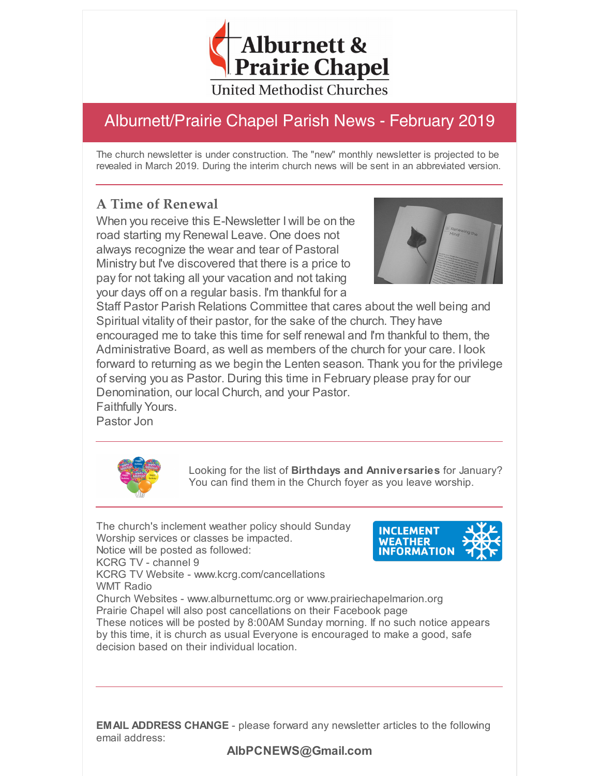

# Alburnett/Prairie Chapel Parish News - February 2019

The church newsletter is under construction. The "new" monthly newsletter is projected to be revealed in March 2019. During the interim church news will be sent in an abbreviated version.

### **A Time of Renewal**

When you receive this E-Newsletter I will be on the road starting my Renewal Leave. One does not always recognize the wear and tear of Pastoral Ministry but I've discovered that there is a price to pay for not taking all your vacation and not taking your days off on a regular basis. I'm thankful for a



Staff Pastor Parish Relations Committee that cares about the well being and Spiritual vitality of their pastor, for the sake of the church. They have encouraged me to take this time for self renewal and I'm thankful to them, the Administrative Board, as well as members of the church for your care. I look forward to returning as we begin the Lenten season. Thank you for the privilege of serving you as Pastor. During this time in February please pray for our Denomination, our local Church, and your Pastor. Faithfully Yours.

Pastor Jon



Looking for the list of **Birthdays and Anniversaries** for January? You can find them in the Church foyer as you leave worship.

The church's inclement weather policy should Sunday Worship services or classes be impacted. Notice will be posted as followed: KCRG TV - channel 9 KCRG TV Website - www.kcrg.com/cancellations WMT Radio Church Websites - www.alburnettumc.org or www.prairiechapelmarion.org These notices will be posted by 8:00AM Sunday morning. If no such notice appears



Prairie Chapel will also post cancellations on their Facebook page

by this time, it is church as usual Everyone is encouraged to make a good, safe decision based on their individual location.

**EMAIL ADDRESS CHANGE** - please forward any newsletter articles to the following email address:

#### **AlbPCNEWS@Gmail.com**